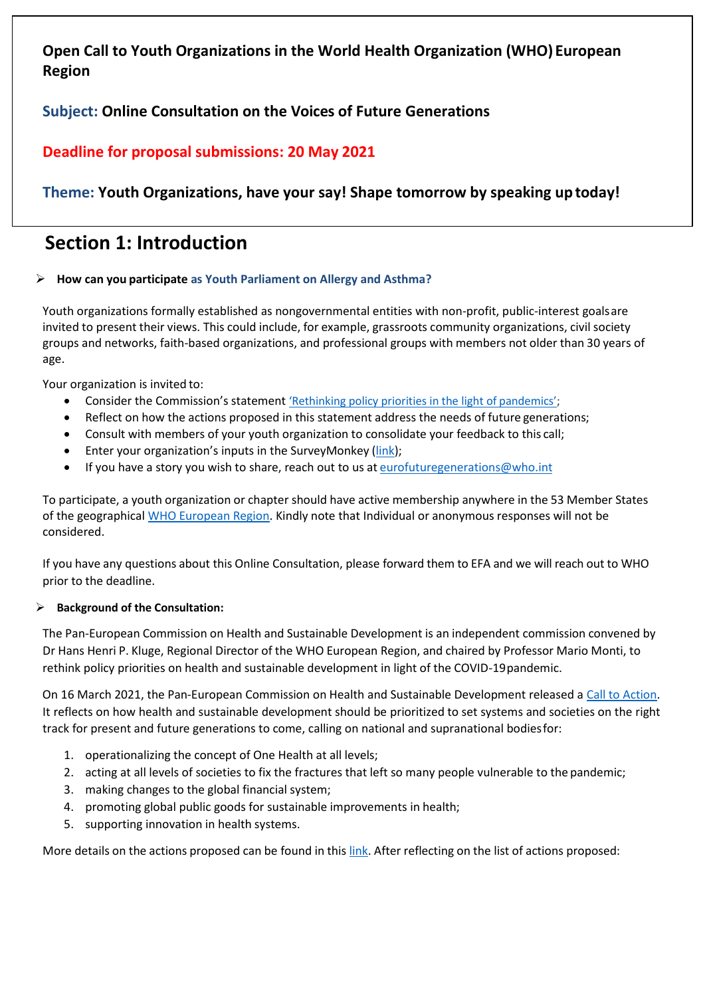# **Open Call to Youth Organizations in the World Health Organization (WHO) European Region**

## **Subject: Online Consultation on the Voices of Future Generations**

# **Deadline for proposal submissions: 20 May 2021**

# **Theme: Youth Organizations, have your say! Shape tomorrow by speaking uptoday!**

# **Section 1: Introduction**

## ➢ **How can you participate as Youth Parliament on Allergy and Asthma?**

Youth organizations formally established as nongovernmental entities with non-profit, public-interest goalsare invited to present their views. This could include, for example, grassroots community organizations, civil society groups and networks, faith-based organizations, and professional groups with members not older than 30 years of age.

Your organization is invited to:

- Consider the Commission's statement ['Rethinking policy priorities in the light of](https://www.euro.who.int/en/media-centre/sections/press-releases/2021/rethinking-policy-priorities-in-the-light-of-pandemics-a-call-to-action) pandemics';
- Reflect on how the actions proposed in this statement address the needs of future generations;
- Consult with members of your youth organization to consolidate your feedback to this call;
- Enter your organization's inputs in the SurveyMonkey [\(link\)](https://www.research.net/r/Pan_European_Commission_Youth_Survey);
- If you have a story you wish to share, reach out to us at [eurofuturegenerations@who.int](mailto:eurofuturegenerations@who.int)

To participate, a youth organization or chapter should have active membership anywhere in the 53 Member States of the geographical [WHO European Region.](https://www.euro.who.int/en/countries) Kindly note that Individual or anonymous responses will not be considered.

If you have any questions about this Online Consultation, please forward them to EFA and we will reach out to WHO prior to the deadline.

### ➢ **Background of the Consultation:**

The Pan-European Commission on Health and Sustainable Development is an independent commission convened by Dr Hans Henri P. Kluge, Regional Director of the WHO European Region, and chaired by Professor Mario Monti, to rethink policy priorities on health and sustainable development in light of the COVID-19pandemic.

On 16 March 2021, the Pan-European Commission on Health and Sustainable Development released a Call to [Action.](https://www.euro.who.int/__data/assets/pdf_file/0010/495856/Pan-European-Commission-Call-to-action-eng.pdf) It reflects on how health and sustainable development should be prioritized to set systems and societies on the right track for present and future generations to come, calling on national and supranational bodiesfor:

- 1. operationalizing the concept of One Health at all levels;
- 2. acting at all levels of societies to fix the fractures that left so many people vulnerable to the pandemic;
- 3. making changes to the global financial system;
- 4. promoting global public goods for sustainable improvements in health;
- 5. supporting innovation in health systems.

More details on the actions proposed can be found in this [link.](https://www.euro.who.int/en/media-centre/sections/press-releases/2021/rethinking-policy-priorities-in-the-light-of-pandemics-a-call-to-action) After reflecting on the list of actions proposed: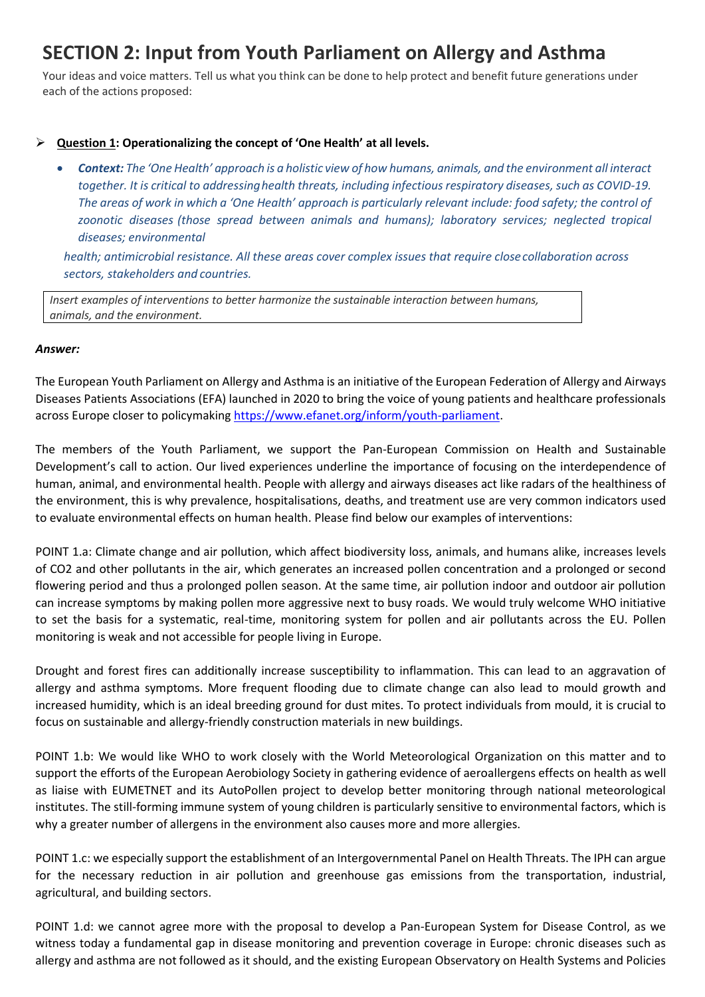# **SECTION 2: Input from Youth Parliament on Allergy and Asthma**

Your ideas and voice matters. Tell us what you think can be done to help protect and benefit future generations under each of the actions proposed:

#### ➢ **Question 1: Operationalizing the concept of 'One Health' at all levels.**

• *Context: The 'One Health' approach is a holistic view of how humans, animals, and the environment all interact together. It is critical to addressinghealth threats, including infectious respiratory diseases, such as COVID-19. The areas of work in which a 'One Health' approach is particularly relevant include: food safety; the control of zoonotic diseases (those spread between animals and humans); laboratory services; neglected tropical diseases; environmental*

*health; antimicrobial resistance. All these areas cover complex issues that require closecollaboration across sectors, stakeholders and countries.*

*Insert examples of interventions to better harmonize the sustainable interaction between humans, animals, and the environment.*

#### *Answer:*

The European Youth Parliament on Allergy and Asthma is an initiative of the European Federation of Allergy and Airways Diseases Patients Associations (EFA) launched in 2020 to bring the voice of young patients and healthcare professionals across Europe closer to policymaking [https://www.efanet.org/inform/youth-parliament.](https://www.efanet.org/inform/youth-parliament)

The members of the Youth Parliament, we support the Pan-European Commission on Health and Sustainable Development's call to action. Our lived experiences underline the importance of focusing on the interdependence of human, animal, and environmental health. People with allergy and airways diseases act like radars of the healthiness of the environment, this is why prevalence, hospitalisations, deaths, and treatment use are very common indicators used to evaluate environmental effects on human health. Please find below our examples of interventions:

POINT 1.a: Climate change and air pollution, which affect biodiversity loss, animals, and humans alike, increases levels of CO2 and other pollutants in the air, which generates an increased pollen concentration and a prolonged or second flowering period and thus a prolonged pollen season. At the same time, air pollution indoor and outdoor air pollution can increase symptoms by making pollen more aggressive next to busy roads. We would truly welcome WHO initiative to set the basis for a systematic, real-time, monitoring system for pollen and air pollutants across the EU. Pollen monitoring is weak and not accessible for people living in Europe.

Drought and forest fires can additionally increase susceptibility to inflammation. This can lead to an aggravation of allergy and asthma symptoms. More frequent flooding due to climate change can also lead to mould growth and increased humidity, which is an ideal breeding ground for dust mites. To protect individuals from mould, it is crucial to focus on sustainable and allergy-friendly construction materials in new buildings.

POINT 1.b: We would like WHO to work closely with the World Meteorological Organization on this matter and to support the efforts of the European Aerobiology Society in gathering evidence of aeroallergens effects on health as well as liaise with EUMETNET and its AutoPollen project to develop better monitoring through national meteorological institutes. The still-forming immune system of young children is particularly sensitive to environmental factors, which is why a greater number of allergens in the environment also causes more and more allergies.

POINT 1.c: we especially support the establishment of an Intergovernmental Panel on Health Threats. The IPH can argue for the necessary reduction in air pollution and greenhouse gas emissions from the transportation, industrial, agricultural, and building sectors.

POINT 1.d: we cannot agree more with the proposal to develop a Pan-European System for Disease Control, as we witness today a fundamental gap in disease monitoring and prevention coverage in Europe: chronic diseases such as allergy and asthma are not followed as it should, and the existing European Observatory on Health Systems and Policies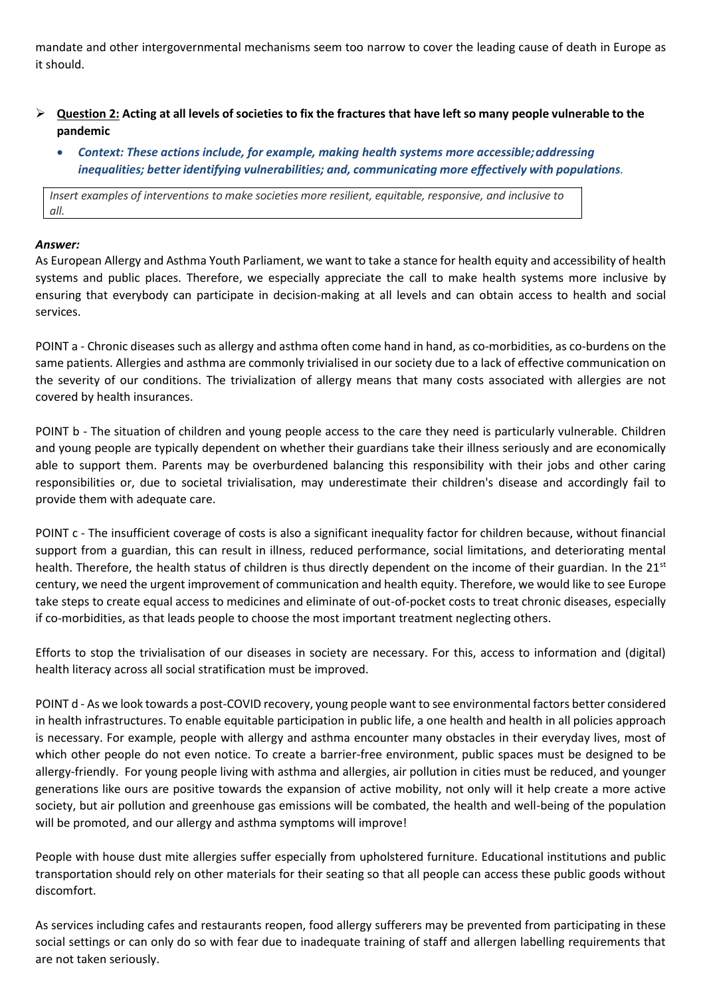mandate and other intergovernmental mechanisms seem too narrow to cover the leading cause of death in Europe as it should.

- $\triangleright$  Question 2: Acting at all levels of societies to fix the fractures that have left so many people vulnerable to the **pandemic**
	- *Context: These actions include, for example, making health systems more accessible;addressing inequalities; better identifying vulnerabilities; and, communicating more effectively with populations.*

*Insert examples of interventions to make societies more resilient, equitable, responsive, and inclusive to all.*

#### *Answer:*

As European Allergy and Asthma Youth Parliament, we want to take a stance for health equity and accessibility of health systems and public places. Therefore, we especially appreciate the call to make health systems more inclusive by ensuring that everybody can participate in decision-making at all levels and can obtain access to health and social services.

POINT a - Chronic diseases such as allergy and asthma often come hand in hand, as co-morbidities, as co-burdens on the same patients. Allergies and asthma are commonly trivialised in our society due to a lack of effective communication on the severity of our conditions. The trivialization of allergy means that many costs associated with allergies are not covered by health insurances.

POINT b - The situation of children and young people access to the care they need is particularly vulnerable. Children and young people are typically dependent on whether their guardians take their illness seriously and are economically able to support them. Parents may be overburdened balancing this responsibility with their jobs and other caring responsibilities or, due to societal trivialisation, may underestimate their children's disease and accordingly fail to provide them with adequate care.

POINT c - The insufficient coverage of costs is also a significant inequality factor for children because, without financial support from a guardian, this can result in illness, reduced performance, social limitations, and deteriorating mental health. Therefore, the health status of children is thus directly dependent on the income of their guardian. In the  $21^{st}$ century, we need the urgent improvement of communication and health equity. Therefore, we would like to see Europe take steps to create equal access to medicines and eliminate of out-of-pocket costs to treat chronic diseases, especially if co-morbidities, as that leads people to choose the most important treatment neglecting others.

Efforts to stop the trivialisation of our diseases in society are necessary. For this, access to information and (digital) health literacy across all social stratification must be improved.

POINT d - As we look towards a post-COVID recovery, young people want to see environmental factors better considered in health infrastructures. To enable equitable participation in public life, a one health and health in all policies approach is necessary. For example, people with allergy and asthma encounter many obstacles in their everyday lives, most of which other people do not even notice. To create a barrier-free environment, public spaces must be designed to be allergy-friendly. For young people living with asthma and allergies, air pollution in cities must be reduced, and younger generations like ours are positive towards the expansion of active mobility, not only will it help create a more active society, but air pollution and greenhouse gas emissions will be combated, the health and well-being of the population will be promoted, and our allergy and asthma symptoms will improve!

People with house dust mite allergies suffer especially from upholstered furniture. Educational institutions and public transportation should rely on other materials for their seating so that all people can access these public goods without discomfort.

As services including cafes and restaurants reopen, food allergy sufferers may be prevented from participating in these social settings or can only do so with fear due to inadequate training of staff and allergen labelling requirements that are not taken seriously.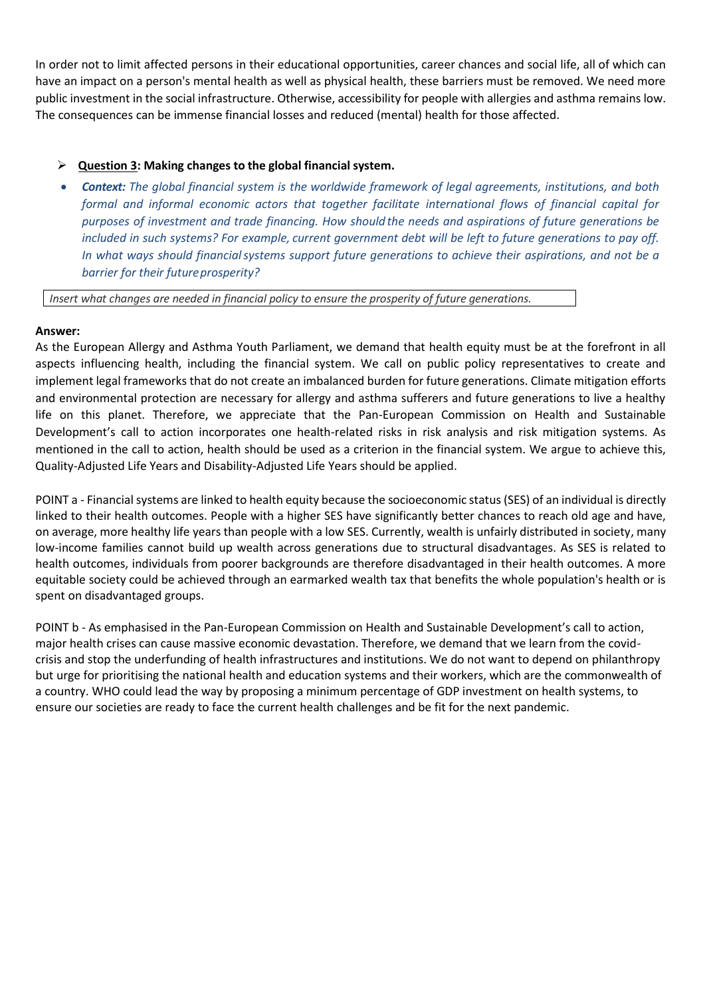In order not to limit affected persons in their educational opportunities, career chances and social life, all of which can have an impact on a person's mental health as well as physical health, these barriers must be removed. We need more public investment in the social infrastructure. Otherwise, accessibility for people with allergies and asthma remains low. The consequences can be immense financial losses and reduced (mental) health for those affected.

### ➢ **Question 3: Making changes to the global financial system.**

• *Context: The global financial system is the worldwide framework of legal agreements, institutions, and both formal and informal economic actors that together facilitate international flows of financial capital for purposes of investment and trade financing. How should the needs and aspirations of future generations be included in such systems? For example, current government debt will be left to future generations to pay off. In what ways should financialsystems support future generations to achieve their aspirations, and not be a barrier for their futureprosperity?*

*Insert what changes are needed in financial policy to ensure the prosperity of future generations.*

#### **Answer:**

As the European Allergy and Asthma Youth Parliament, we demand that health equity must be at the forefront in all aspects influencing health, including the financial system. We call on public policy representatives to create and implement legal frameworks that do not create an imbalanced burden for future generations. Climate mitigation efforts and environmental protection are necessary for allergy and asthma sufferers and future generations to live a healthy life on this planet. Therefore, we appreciate that the Pan-European Commission on Health and Sustainable Development's call to action incorporates one health-related risks in risk analysis and risk mitigation systems. As mentioned in the call to action, health should be used as a criterion in the financial system. We argue to achieve this, Quality-Adjusted Life Years and Disability-Adjusted Life Years should be applied.

POINT a - Financial systems are linked to health equity because the socioeconomic status (SES) of an individual is directly linked to their health outcomes. People with a higher SES have significantly better chances to reach old age and have, on average, more healthy life years than people with a low SES. Currently, wealth is unfairly distributed in society, many low-income families cannot build up wealth across generations due to structural disadvantages. As SES is related to health outcomes, individuals from poorer backgrounds are therefore disadvantaged in their health outcomes. A more equitable society could be achieved through an earmarked wealth tax that benefits the whole population's health or is spent on disadvantaged groups.

POINT b - As emphasised in the Pan-European Commission on Health and Sustainable Development's call to action, major health crises can cause massive economic devastation. Therefore, we demand that we learn from the covidcrisis and stop the underfunding of health infrastructures and institutions. We do not want to depend on philanthropy but urge for prioritising the national health and education systems and their workers, which are the commonwealth of a country. WHO could lead the way by proposing a minimum percentage of GDP investment on health systems, to ensure our societies are ready to face the current health challenges and be fit for the next pandemic.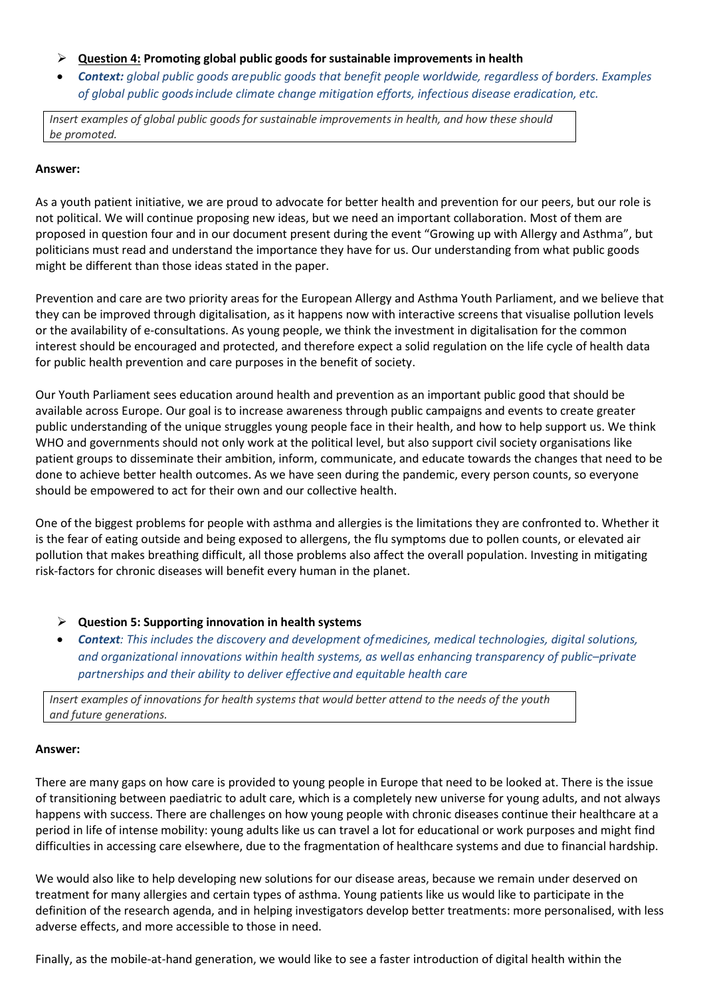- ➢ **Question 4: Promoting global public goods for sustainable improvements in health**
- *Context: global public goods arepublic goods that benefit people worldwide, regardless of borders. Examples of global public goodsinclude climate change mitigation efforts, infectious disease eradication, etc.*

*Insert examples of global public goods for sustainable improvements in health, and how these should be promoted.*

#### **Answer:**

As a youth patient initiative, we are proud to advocate for better health and prevention for our peers, but our role is not political. We will continue proposing new ideas, but we need an important collaboration. Most of them are proposed in question four and in our document present during the event "Growing up with Allergy and Asthma", but politicians must read and understand the importance they have for us. Our understanding from what public goods might be different than those ideas stated in the paper.

Prevention and care are two priority areas for the European Allergy and Asthma Youth Parliament, and we believe that they can be improved through digitalisation, as it happens now with interactive screens that visualise pollution levels or the availability of e-consultations. As young people, we think the investment in digitalisation for the common interest should be encouraged and protected, and therefore expect a solid regulation on the life cycle of health data for public health prevention and care purposes in the benefit of society.

Our Youth Parliament sees education around health and prevention as an important public good that should be available across Europe. Our goal is to increase awareness through public campaigns and events to create greater public understanding of the unique struggles young people face in their health, and how to help support us. We think WHO and governments should not only work at the political level, but also support civil society organisations like patient groups to disseminate their ambition, inform, communicate, and educate towards the changes that need to be done to achieve better health outcomes. As we have seen during the pandemic, every person counts, so everyone should be empowered to act for their own and our collective health.

One of the biggest problems for people with asthma and allergies is the limitations they are confronted to. Whether it is the fear of eating outside and being exposed to allergens, the flu symptoms due to pollen counts, or elevated air pollution that makes breathing difficult, all those problems also affect the overall population. Investing in mitigating risk-factors for chronic diseases will benefit every human in the planet.

- ➢ **Question 5: Supporting innovation in health systems**
- *Context: This includes the discovery and development ofmedicines, medical technologies, digital solutions, and organizational innovations within health systems, as wellas enhancing transparency of public–private partnerships and their ability to deliver effective and equitable health care*

*Insert examples of innovations for health systems that would better attend to the needs of the youth and future generations.*

#### **Answer:**

There are many gaps on how care is provided to young people in Europe that need to be looked at. There is the issue of transitioning between paediatric to adult care, which is a completely new universe for young adults, and not always happens with success. There are challenges on how young people with chronic diseases continue their healthcare at a period in life of intense mobility: young adults like us can travel a lot for educational or work purposes and might find difficulties in accessing care elsewhere, due to the fragmentation of healthcare systems and due to financial hardship.

We would also like to help developing new solutions for our disease areas, because we remain under deserved on treatment for many allergies and certain types of asthma. Young patients like us would like to participate in the definition of the research agenda, and in helping investigators develop better treatments: more personalised, with less adverse effects, and more accessible to those in need.

Finally, as the mobile-at-hand generation, we would like to see a faster introduction of digital health within the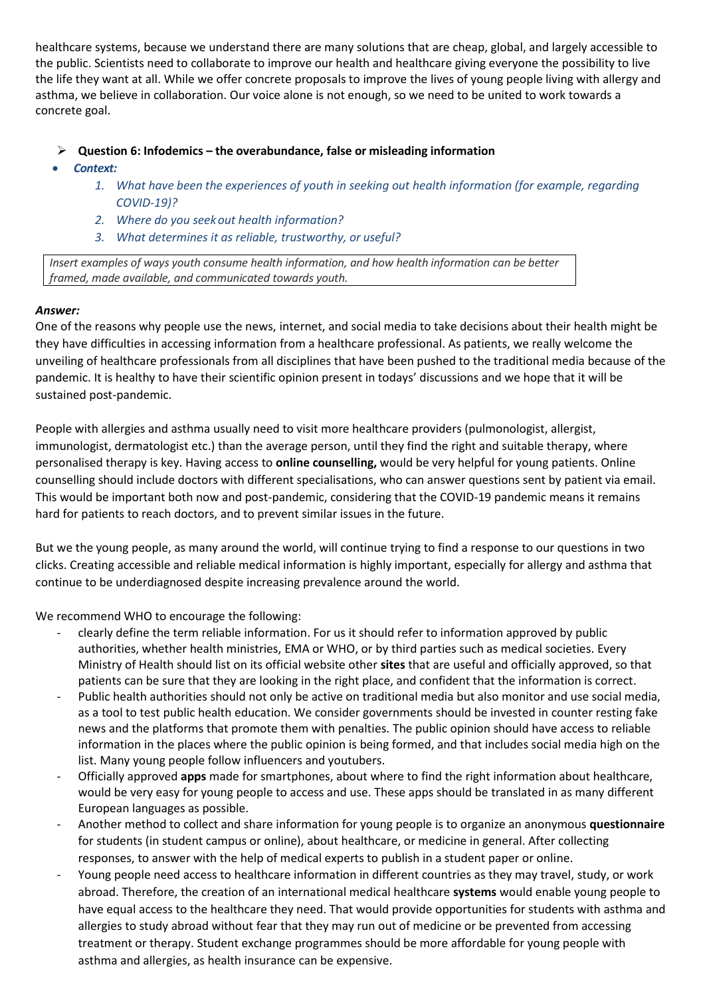healthcare systems, because we understand there are many solutions that are cheap, global, and largely accessible to the public. Scientists need to collaborate to improve our health and healthcare giving everyone the possibility to live the life they want at all. While we offer concrete proposals to improve the lives of young people living with allergy and asthma, we believe in collaboration. Our voice alone is not enough, so we need to be united to work towards a concrete goal.

- ➢ **Question 6: Infodemics – the overabundance, false or misleading information**
- *Context:* 
	- *1. What have been the experiences of youth in seeking out health information (for example, regarding COVID-19)?*
	- *2. Where do you seekout health information?*
	- *3. What determines it as reliable, trustworthy, or useful?*

*Insert examples of ways youth consume health information, and how health information can be better framed, made available, and communicated towards youth.*

## *Answer:*

One of the reasons why people use the news, internet, and social media to take decisions about their health might be they have difficulties in accessing information from a healthcare professional. As patients, we really welcome the unveiling of healthcare professionals from all disciplines that have been pushed to the traditional media because of the pandemic. It is healthy to have their scientific opinion present in todays' discussions and we hope that it will be sustained post-pandemic.

People with allergies and asthma usually need to visit more healthcare providers (pulmonologist, allergist, immunologist, dermatologist etc.) than the average person, until they find the right and suitable therapy, where personalised therapy is key. Having access to **online counselling,** would be very helpful for young patients. Online counselling should include doctors with different specialisations, who can answer questions sent by patient via email. This would be important both now and post-pandemic, considering that the COVID-19 pandemic means it remains hard for patients to reach doctors, and to prevent similar issues in the future.

But we the young people, as many around the world, will continue trying to find a response to our questions in two clicks. Creating accessible and reliable medical information is highly important, especially for allergy and asthma that continue to be underdiagnosed despite increasing prevalence around the world.

We recommend WHO to encourage the following:

- clearly define the term reliable information. For us it should refer to information approved by public authorities, whether health ministries, EMA or WHO, or by third parties such as medical societies. Every Ministry of Health should list on its official website other **sites** that are useful and officially approved, so that patients can be sure that they are looking in the right place, and confident that the information is correct.
- Public health authorities should not only be active on traditional media but also monitor and use social media, as a tool to test public health education. We consider governments should be invested in counter resting fake news and the platforms that promote them with penalties. The public opinion should have access to reliable information in the places where the public opinion is being formed, and that includes social media high on the list. Many young people follow influencers and youtubers.
- Officially approved **apps** made for smartphones, about where to find the right information about healthcare, would be very easy for young people to access and use. These apps should be translated in as many different European languages as possible.
- Another method to collect and share information for young people is to organize an anonymous **questionnaire** for students (in student campus or online), about healthcare, or medicine in general. After collecting responses, to answer with the help of medical experts to publish in a student paper or online.
- Young people need access to healthcare information in different countries as they may travel, study, or work abroad. Therefore, the creation of an international medical healthcare **systems** would enable young people to have equal access to the healthcare they need. That would provide opportunities for students with asthma and allergies to study abroad without fear that they may run out of medicine or be prevented from accessing treatment or therapy. Student exchange programmes should be more affordable for young people with asthma and allergies, as health insurance can be expensive.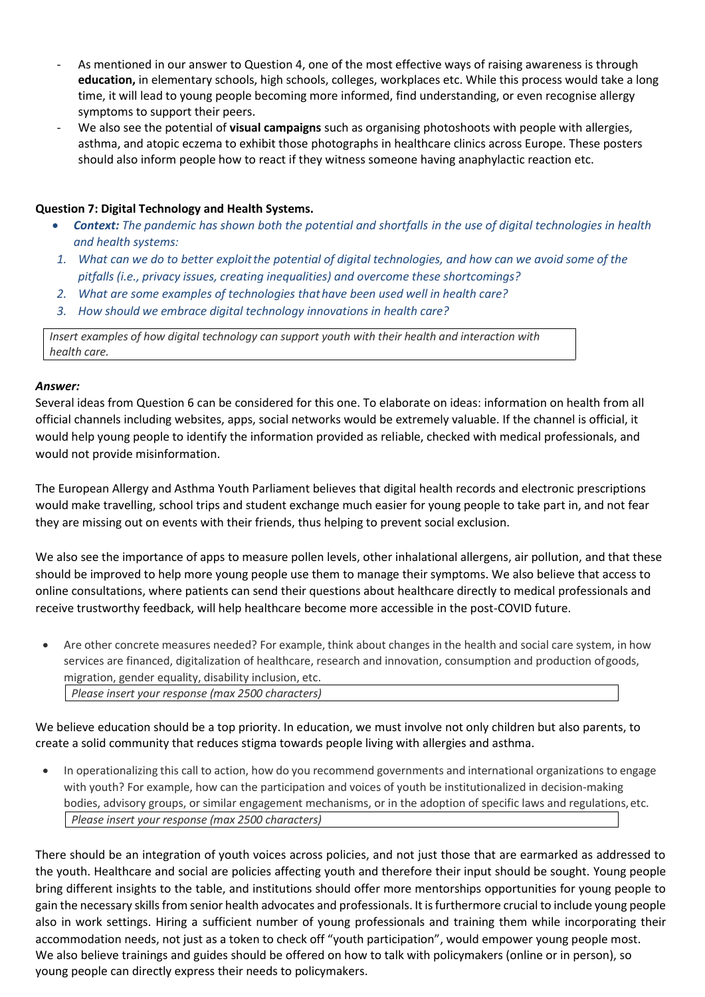- As mentioned in our answer to Question 4, one of the most effective ways of raising awareness is through **education,** in elementary schools, high schools, colleges, workplaces etc. While this process would take a long time, it will lead to young people becoming more informed, find understanding, or even recognise allergy symptoms to support their peers.
- We also see the potential of **visual campaigns** such as organising photoshoots with people with allergies, asthma, and atopic eczema to exhibit those photographs in healthcare clinics across Europe. These posters should also inform people how to react if they witness someone having anaphylactic reaction etc.

#### **Question 7: Digital Technology and Health Systems.**

- *Context: The pandemic has shown both the potential and shortfalls in the use of digital technologies in health and health systems:*
- *1. What can we do to better exploitthe potential of digital technologies, and how can we avoid some of the pitfalls (i.e., privacy issues, creating inequalities) and overcome these shortcomings?*
- *2. What are some examples of technologies thathave been used well in health care?*
- *3. How should we embrace digital technology innovations in health care?*

*Insert examples of how digital technology can support youth with their health and interaction with health care.*

#### *Answer:*

Several ideas from Question 6 can be considered for this one. To elaborate on ideas: information on health from all official channels including websites, apps, social networks would be extremely valuable. If the channel is official, it would help young people to identify the information provided as reliable, checked with medical professionals, and would not provide misinformation.

The European Allergy and Asthma Youth Parliament believes that digital health records and electronic prescriptions would make travelling, school trips and student exchange much easier for young people to take part in, and not fear they are missing out on events with their friends, thus helping to prevent social exclusion.

We also see the importance of apps to measure pollen levels, other inhalational allergens, air pollution, and that these should be improved to help more young people use them to manage their symptoms. We also believe that access to online consultations, where patients can send their questions about healthcare directly to medical professionals and receive trustworthy feedback, will help healthcare become more accessible in the post-COVID future.

• Are other concrete measures needed? For example, think about changes in the health and social care system, in how services are financed, digitalization of healthcare, research and innovation, consumption and production ofgoods, migration, gender equality, disability inclusion, etc. *Please insert your response (max 2500 characters)*

We believe education should be a top priority. In education, we must involve not only children but also parents, to create a solid community that reduces stigma towards people living with allergies and asthma.

• In operationalizing this call to action, how do you recommend governments and international organizations to engage with youth? For example, how can the participation and voices of youth be institutionalized in decision-making bodies, advisory groups, or similar engagement mechanisms, or in the adoption of specific laws and regulations,etc. *Please insert your response (max 2500 characters)*

There should be an integration of youth voices across policies, and not just those that are earmarked as addressed to the youth. Healthcare and social are policies affecting youth and therefore their input should be sought. Young people bring different insights to the table, and institutions should offer more mentorships opportunities for young people to gain the necessary skills from senior health advocates and professionals. It is furthermore crucial to include young people also in work settings. Hiring a sufficient number of young professionals and training them while incorporating their accommodation needs, not just as a token to check off "youth participation", would empower young people most. We also believe trainings and guides should be offered on how to talk with policymakers (online or in person), so young people can directly express their needs to policymakers.